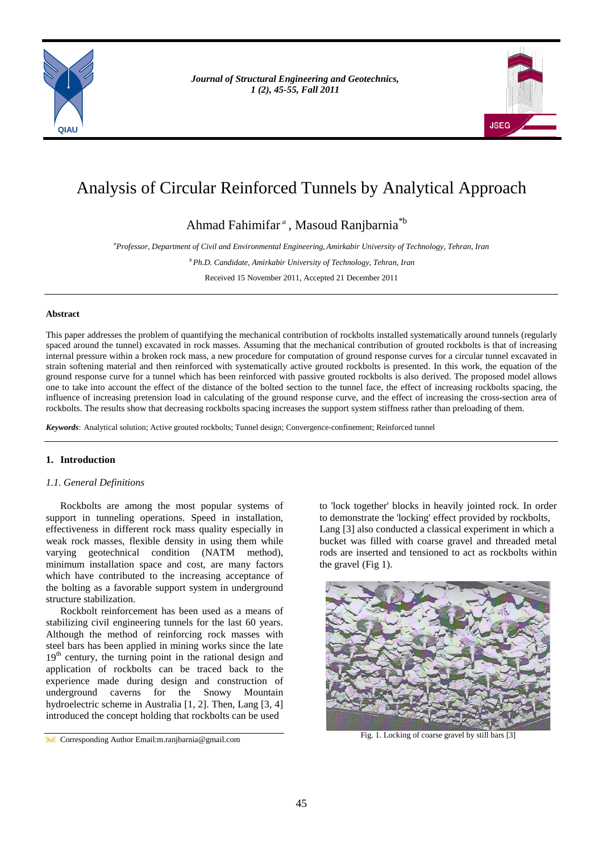

*Journal of Structural Engineering and Geotechnics, Journal of Structural Engineering and Geotechnics, 1 (1), 1-5, Spring 2011 1 (2), 45-55, Fall 2011*



# Analysis of Circular Reinforced Tunnels by Analytical Approach

Ahmad Fahimifar *<sup>a</sup>* , Masoud Ranjbarnia\*b

*a Professor, Department of Civil and Environmental Engineering, Amirkabir University of Technology, Tehran, Iran*

*bPh.D. Candidate, Amirkabir University of Technology, Tehran, Iran*

Received 15 November 2011, Accepted 21 December 2011

# **Abstract**

This paper addresses the problem of quantifying the mechanical contribution of rockbolts installed systematically around tunnels (regularly spaced around the tunnel) excavated in rock masses. Assuming that the mechanical contribution of grouted rockbolts is that of increasing internal pressure within a broken rock mass, a new procedure for computation of ground response curves for a circular tunnel excavated in strain softening material and then reinforced with systematically active grouted rockbolts is presented. In this work, the equation of the ground response curve for a tunnel which has been reinforced with passive grouted rockbolts is also derived. The proposed model allows one to take into account the effect of the distance of the bolted section to the tunnel face, the effect of increasing rockbolts spacing, the influence of increasing pretension load in calculating of the ground response curve, and the effect of increasing the cross-section area of rockbolts. The results show that decreasing rockbolts spacing increases the support system stiffness rather than preloading of them.

*Keywords*: Analytical solution; Active grouted rockbolts; Tunnel design; Convergence-confinement; Reinforced tunnel

# **1. Introduction**

# *1.1. General Definitions*

Rockbolts are among the most popular systems of support in tunneling operations. Speed in installation, effectiveness in different rock mass quality especially in weak rock masses, flexible density in using them while varying geotechnical condition (NATM method), minimum installation space and cost, are many factors which have contributed to the increasing acceptance of the bolting as a favorable support system in underground structure stabilization.

Rockbolt reinforcement has been used as a means of stabilizing civil engineering tunnels for the last 60 years. Although the method of reinforcing rock masses with steel bars has been applied in mining works since the late 19<sup>th</sup> century, the turning point in the rational design and application of rockbolts can be traced back to the experience made during design and construction of underground caverns for the Snowy Mountain hydroelectric scheme in Australia [1, 2]. Then, Lang [3, 4] introduced the concept holding that rockbolts can be used

to 'lock together' blocks in heavily jointed rock. In order to demonstrate the 'locking' effect provided by rockbolts, Lang [3] also conducted a classical experiment in which a bucket was filled with coarse gravel and threaded metal rods are inserted and tensioned to act as rockbolts within the gravel (Fig 1).



Fig. 1. Locking of coarse gravel by still bars [3]

**Corresponding Author Email:m.ranjbarnia@gmail.com**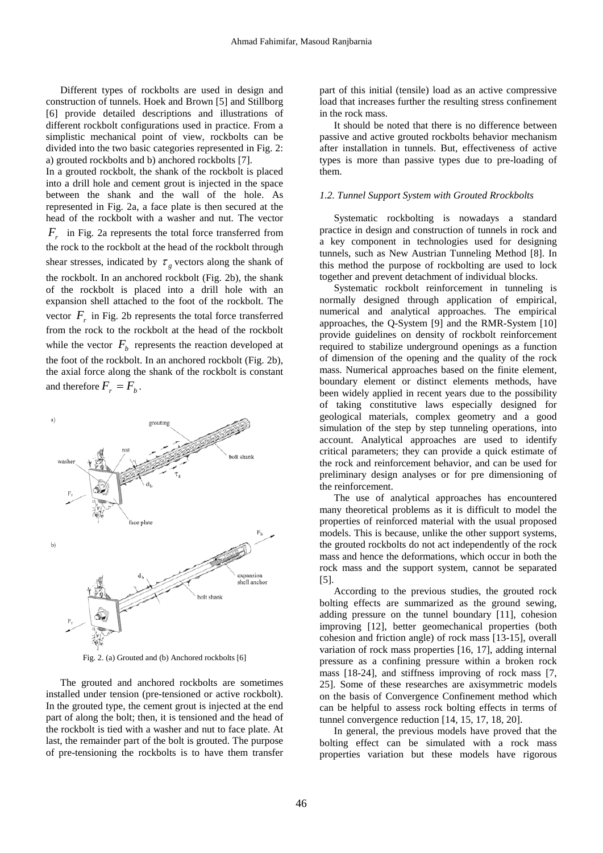Different types of rockbolts are used in design and construction of tunnels. Hoek and Brown [5] and Stillborg [6] provide detailed descriptions and illustrations of different rockbolt configurations used in practice. From a simplistic mechanical point of view, rockbolts can be divided into the two basic categories represented in Fig. 2: a) grouted rockbolts and b) anchored rockbolts [7].

In a grouted rockbolt, the shank of the rockbolt is placed into a drill hole and cement grout is injected in the space between the shank and the wall of the hole. As represented in Fig. 2a, a face plate is then secured at the head of the rockbolt with a washer and nut. The vector *Fr* in Fig. 2a represents the total force transferred from the rock to the rockbolt at the head of the rockbolt through shear stresses, indicated by  $\tau_{\rho}$  vectors along the shank of the rockbolt. In an anchored rockbolt (Fig. 2b), the shank of the rockbolt is placed into a drill hole with an expansion shell attached to the foot of the rockbolt. The vector  $F<sub>r</sub>$  in Fig. 2b represents the total force transferred from the rock to the rockbolt at the head of the rockbolt while the vector  $F_b$  represents the reaction developed at the foot of the rockbolt. In an anchored rockbolt (Fig. 2b), the axial force along the shank of the rockbolt is constant and therefore  $F_r = F_b$ .



Fig. 2. (a) Grouted and (b) Anchored rockbolts [6]

The grouted and anchored rockbolts are sometimes installed under tension (pre-tensioned or active rockbolt). In the grouted type, the cement grout is injected at the end part of along the bolt; then, it is tensioned and the head of the rockbolt is tied with a washer and nut to face plate. At last, the remainder part of the bolt is grouted. The purpose of pre-tensioning the rockbolts is to have them transfer

part of this initial (tensile) load as an active compressive load that increases further the resulting stress confinement in the rock mass.

It should be noted that there is no difference between passive and active grouted rockbolts behavior mechanism after installation in tunnels. But, effectiveness of active types is more than passive types due to pre-loading of them.

## *1.2. Tunnel Support System with Grouted Rrockbolts*

Systematic rockbolting is nowadays a standard practice in design and construction of tunnels in rock and a key component in technologies used for designing tunnels, such as New Austrian Tunneling Method [8]. In this method the purpose of rockbolting are used to lock together and prevent detachment of individual blocks.

Systematic rockbolt reinforcement in tunneling is normally designed through application of empirical, numerical and analytical approaches. The empirical approaches, the Q-System [9] and the RMR-System [10] provide guidelines on density of rockbolt reinforcement required to stabilize underground openings as a function of dimension of the opening and the quality of the rock mass. Numerical approaches based on the finite element, boundary element or distinct elements methods, have been widely applied in recent years due to the possibility of taking constitutive laws especially designed for geological materials, complex geometry and a good simulation of the step by step tunneling operations, into account. Analytical approaches are used to identify critical parameters; they can provide a quick estimate of the rock and reinforcement behavior, and can be used for preliminary design analyses or for pre dimensioning of the reinforcement.

The use of analytical approaches has encountered many theoretical problems as it is difficult to model the properties of reinforced material with the usual proposed models. This is because, unlike the other support systems, the grouted rockbolts do not act independently of the rock mass and hence the deformations, which occur in both the rock mass and the support system, cannot be separated [5].

According to the previous studies, the grouted rock bolting effects are summarized as the ground sewing, adding pressure on the tunnel boundary [11], cohesion improving [12], better geomechanical properties (both cohesion and friction angle) of rock mass [13-15], overall variation of rock mass properties [16, 17], adding internal pressure as a confining pressure within a broken rock mass [18-24], and stiffness improving of rock mass [7, 25]. Some of these researches are axisymmetric models on the basis of Convergence Confinement method which can be helpful to assess rock bolting effects in terms of tunnel convergence reduction [14, 15, 17, 18, 20].

In general, the previous models have proved that the bolting effect can be simulated with a rock mass properties variation but these models have rigorous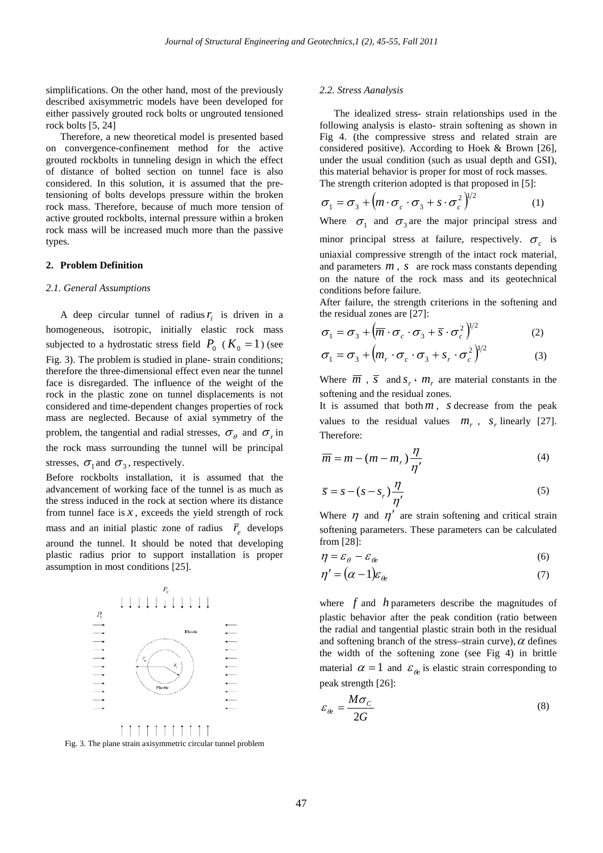simplifications. On the other hand, most of the previously described axisymmetric models have been developed for either passively grouted rock bolts or ungrouted tensioned rock bolts [5, 24]

Therefore, a new theoretical model is presented based on convergence-confinement method for the active grouted rockbolts in tunneling design in which the effect of distance of bolted section on tunnel face is also considered. In this solution, it is assumed that the pretensioning of bolts develops pressure within the broken rock mass. Therefore, because of much more tension of active grouted rockbolts, internal pressure within a broken rock mass will be increased much more than the passive types.

## **2. Problem Definition**

#### *2.1. General Assumptions*

A deep circular tunnel of radius  $r_i$  is driven in a homogeneous, isotropic, initially elastic rock mass subjected to a hydrostatic stress field  $P_0$  ( $K_0 = 1$ ) (see Fig. 3). The problem is studied in plane- strain conditions; therefore the three-dimensional effect even near the tunnel face is disregarded. The influence of the weight of the rock in the plastic zone on tunnel displacements is not considered and time-dependent changes properties of rock mass are neglected. Because of axial symmetry of the problem, the tangential and radial stresses,  $\sigma_{\theta}$  and  $\sigma_{r}$  in the rock mass surrounding the tunnel will be principal stresses,  $\sigma_1$  and  $\sigma_3$ , respectively.

Before rockbolts installation, it is assumed that the advancement of working face of the tunnel is as much as the stress induced in the rock at section where its distance from tunnel face is  $x$ , exceeds the yield strength of rock mass and an initial plastic zone of radius  $\overline{r}_e$  develops around the tunnel. It should be noted that developing plastic radius prior to support installation is proper assumption in most conditions [25].



Fig. 3. The plane strain axisymmetric circular tunnel problem

#### *2.2. Stress Aanalysis*

The idealized stress- strain relationships used in the following analysis is elasto- strain softening as shown in Fig 4. (the compressive stress and related strain are considered positive). According to Hoek & Brown [26], under the usual condition (such as usual depth and GSI), this material behavior is proper for most of rock masses. The strength criterion adopted is that proposed in [5]:

$$
\sigma_1 = \sigma_3 + \left( m \cdot \sigma_c \cdot \sigma_3 + s \cdot \sigma_c^2 \right)^{1/2}
$$
 (1)

Where  $\sigma_1$  and  $\sigma_3$  are the major principal stress and

minor principal stress at failure, respectively.  $\sigma_c$  is uniaxial compressive strength of the intact rock material, and parameters *m* , *s* are rock mass constants depending on the nature of the rock mass and its geotechnical conditions before failure.

After failure, the strength criterions in the softening and the residual zones are [27]:

$$
\sigma_1 = \sigma_3 + \left(\overline{m} \cdot \sigma_c \cdot \sigma_3 + \overline{s} \cdot \sigma_c^2\right)^{1/2}
$$
 (2)

$$
\sigma_1 = \sigma_3 + \left( m_r \cdot \sigma_c \cdot \sigma_3 + s_r \cdot \sigma_c^2 \right)^{1/2}
$$
 (3)

Where  $\overline{m}$ ,  $\overline{s}$  and  $s_r \cdot m_r$  are material constants in the softening and the residual zones.

It is assumed that both*m* , *s* decrease from the peak values to the residual values  $m_r$ ,  $s_r$  linearly [27]. Therefore:

$$
\overline{m} = m - (m - m_r) \frac{\eta}{\eta'}
$$
 (4)

$$
\overline{s} = s - (s - s_r) \frac{\eta}{\eta'}
$$
 (5)

Where  $\eta$  and  $\eta'$  are strain softening and critical strain softening parameters. These parameters can be calculated from [28]:

$$
\eta = \varepsilon_{\theta} - \varepsilon_{\theta} \tag{6}
$$

$$
\eta' = (\alpha - 1)\varepsilon_{\theta} \tag{7}
$$

where *f* and *h* parameters describe the magnitudes of plastic behavior after the peak condition (ratio between the radial and tangential plastic strain both in the residual and softening branch of the stress–strain curve),  $\alpha$  defines the width of the softening zone (see Fig 4) in brittle material  $\alpha = 1$  and  $\varepsilon_{\theta}$  is elastic strain corresponding to peak strength [26]:

$$
\varepsilon_{\theta} = \frac{M\sigma_C}{2G} \tag{8}
$$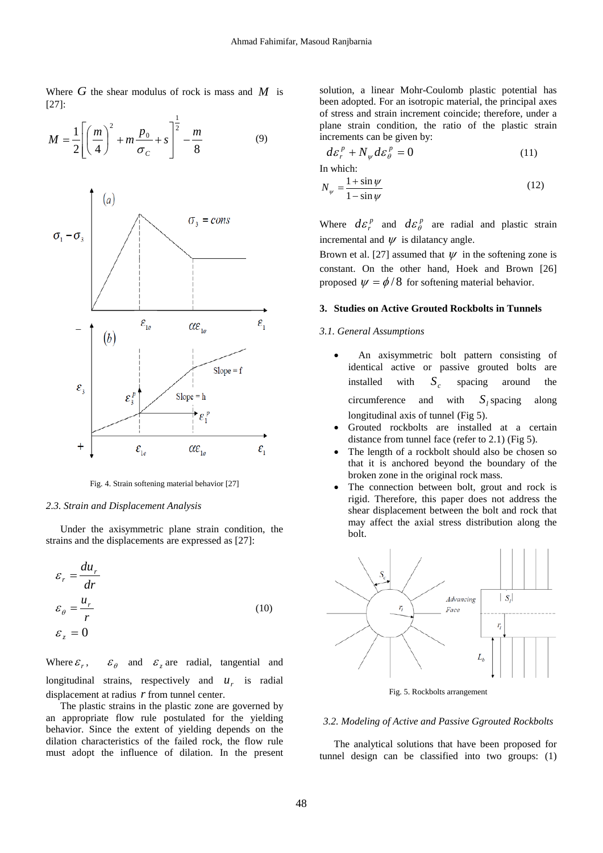Where  $G$  the shear modulus of rock is mass and  $M$  is [27]:

$$
M = \frac{1}{2} \left[ \left( \frac{m}{4} \right)^2 + m \frac{p_0}{\sigma_c} + s \right]^{\frac{1}{2}} - \frac{m}{8}
$$
(9)



Fig. 4. Strain softening material behavior [27]

#### *2.3. Strain and Displacement Analysis*

Under the axisymmetric plane strain condition, the strains and the displacements are expressed as [27]:

$$
\varepsilon_r = \frac{du_r}{dr}
$$
  
\n
$$
\varepsilon_\theta = \frac{u_r}{r}
$$
  
\n
$$
\varepsilon_z = 0
$$
 (10)

Where  $\varepsilon_r$ ,  $\varepsilon_\theta$  and  $\varepsilon_z$  are radial, tangential and longitudinal strains, respectively and  $u_r$  is radial displacement at radius *r* from tunnel center.

The plastic strains in the plastic zone are governed by an appropriate flow rule postulated for the yielding behavior. Since the extent of yielding depends on the dilation characteristics of the failed rock, the flow rule must adopt the influence of dilation. In the present solution, a linear Mohr-Coulomb plastic potential has been adopted. For an isotropic material, the principal axes of stress and strain increment coincide; therefore, under a plane strain condition, the ratio of the plastic strain increments can be given by:

$$
d\varepsilon_r^p + N_\psi d\varepsilon_\theta^p = 0 \tag{11}
$$

In which:

$$
N_{\psi} = \frac{1 + \sin \psi}{1 - \sin \psi} \tag{12}
$$

Where  $d\varepsilon_r^p$  and  $d\varepsilon_\theta^p$  are radial and plastic strain incremental and  $\psi$  is dilatancy angle.

Brown et al. [27] assumed that  $\psi$  in the softening zone is constant. On the other hand, Hoek and Brown [26] proposed  $\psi = \phi/8$  for softening material behavior.

# **3. Studies on Active Grouted Rockbolts in Tunnels**

## *3.1. General Assumptions*

- An axisymmetric bolt pattern consisting of identical active or passive grouted bolts are installed with  $S_c$  spacing around the circumference and with  $S_i$  spacing along longitudinal axis of tunnel (Fig 5).
- Grouted rockbolts are installed at a certain distance from tunnel face (refer to 2.1) (Fig 5).
- The length of a rockbolt should also be chosen so that it is anchored beyond the boundary of the broken zone in the original rock mass.
- The connection between bolt, grout and rock is rigid. Therefore, this paper does not address the shear displacement between the bolt and rock that may affect the axial stress distribution along the bolt.



Fig. 5. Rockbolts arrangement

#### *3.2. Modeling of Active and Passive Ggrouted Rockbolts*

The analytical solutions that have been proposed for tunnel design can be classified into two groups: (1)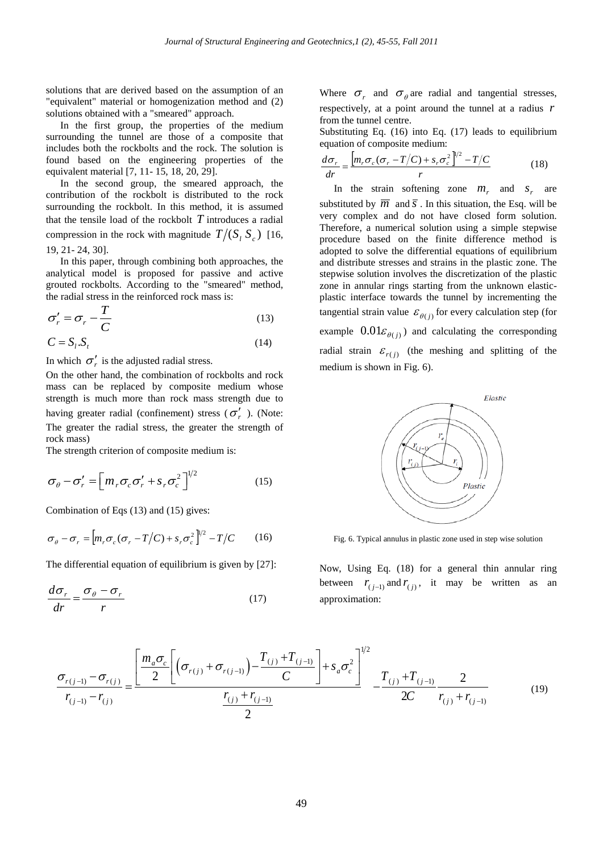solutions that are derived based on the assumption of an "equivalent" material or homogenization method and (2) solutions obtained with a "smeared" approach.

In the first group, the properties of the medium surrounding the tunnel are those of a composite that includes both the rockbolts and the rock. The solution is found based on the engineering properties of the equivalent material [7, 11- 15, 18, 20, 29].

In the second group, the smeared approach, the contribution of the rockbolt is distributed to the rock surrounding the rockbolt. In this method, it is assumed that the tensile load of the rockbolt *T* introduces a radial compression in the rock with magnitude  $T / (S_i S_j)$  [16, 19, 21- 24, 30].

In this paper, through combining both approaches, the analytical model is proposed for passive and active grouted rockbolts. According to the "smeared" method, the radial stress in the reinforced rock mass is:

$$
\sigma'_{r} = \sigma_{r} - \frac{T}{C}
$$
\n(13)

$$
C = S_t.S_t \tag{14}
$$

In which  $\sigma'_r$  is the adjusted radial stress.

On the other hand, the combination of rockbolts and rock mass can be replaced by composite medium whose strength is much more than rock mass strength due to having greater radial (confinement) stress ( $\sigma'_r$ ). (Note: The greater the radial stress, the greater the strength of rock mass)

The strength criterion of composite medium is:

$$
\sigma_{\theta} - \sigma'_{r} = \left[ m_{r} \sigma_{c} \sigma'_{r} + s_{r} \sigma_{c}^{2} \right]^{1/2}
$$
 (15)

Combination of Eqs (13) and (15) gives:

$$
\sigma_{\theta} - \sigma_r = \left[ m_r \sigma_c (\sigma_r - T/C) + s_r \sigma_c^2 \right]^{1/2} - T/C \qquad (16)
$$

The differential equation of equilibrium is given by [27]:

$$
\frac{d\sigma_r}{dr} = \frac{\sigma_\theta - \sigma_r}{r} \tag{17}
$$

Where  $\sigma_r$  and  $\sigma_\theta$  are radial and tangential stresses, respectively, at a point around the tunnel at a radius *r* from the tunnel centre.

Substituting Eq. (16) into Eq. (17) leads to equilibrium equation of composite medium:

$$
\frac{d\sigma_r}{dr} = \frac{\left[m_r \sigma_c (\sigma_r - T/C) + s_r \sigma_c^2\right]^{1/2} - T/C}{r}
$$
(18)

In the strain softening zone  $m<sub>r</sub>$  and  $s<sub>r</sub>$  are substituted by  $\overline{m}$  and  $\overline{s}$ . In this situation, the Esq. will be very complex and do not have closed form solution. Therefore, a numerical solution using a simple stepwise procedure based on the finite difference method is adopted to solve the differential equations of equilibrium and distribute stresses and strains in the plastic zone. The stepwise solution involves the discretization of the plastic zone in annular rings starting from the unknown elasticplastic interface towards the tunnel by incrementing the tangential strain value  $\mathcal{E}_{\theta(i)}$  for every calculation step (for example  $0.01\varepsilon_{\theta(i)}$  and calculating the corresponding radial strain  $\varepsilon_{r(i)}$  (the meshing and splitting of the medium is shown in Fig. 6).



Fig. 6. Typical annulus in plastic zone used in step wise solution

Now, Using Eq. (18) for a general thin annular ring between  $r_{(i-1)}$  and  $r_{(i)}$ , it may be written as an approximation:

$$
\frac{\sigma_{r(j-1)} - \sigma_{r(j)}}{r_{(j-1)} - r_{(j)}} = \frac{\left[\frac{m_a \sigma_c}{2} \left[ \left(\sigma_{r(j)} + \sigma_{r(j-1)}\right) - \frac{T_{(j)} + T_{(j-1)}}{C} \right] + s_a \sigma_c^2 \right]^{1/2}}{\frac{r_{(j)} + r_{(j-1)}}{2}} - \frac{T_{(j)} + T_{(j-1)}}{2C} \frac{2}{r_{(j)} + r_{(j-1)}} \tag{19}
$$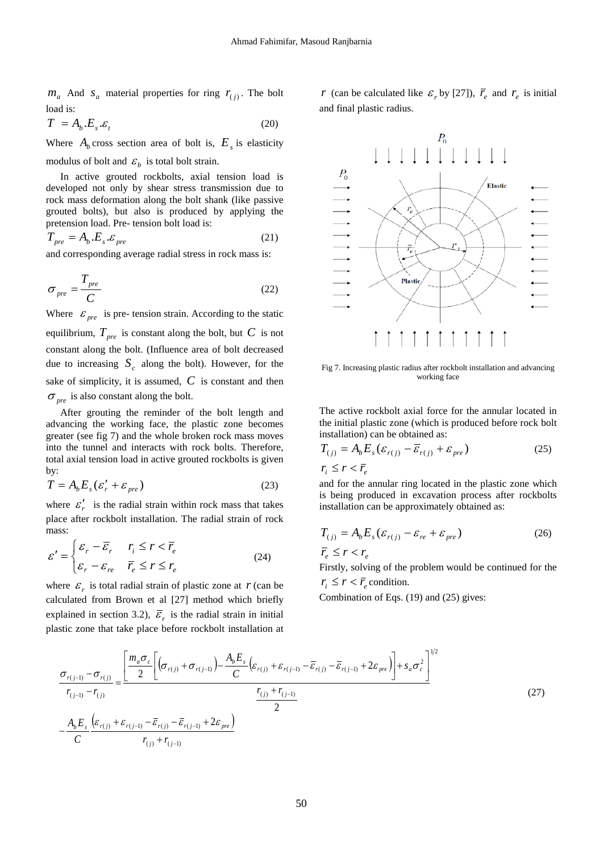$m_a$  And  $s_a$  material properties for ring  $r_{(i)}$ . The bolt load is:

$$
T = A_b.E_s.\varepsilon_t \tag{20}
$$

Where  $A_b$  cross section area of bolt is,  $E_s$  is elasticity modulus of bolt and  $\varepsilon_b$  is total bolt strain.

In active grouted rockbolts, axial tension load is developed not only by shear stress transmission due to rock mass deformation along the bolt shank (like passive grouted bolts), but also is produced by applying the pretension load. Pre- tension bolt load is:

$$
T_{pre} = A_b.E_s.\mathcal{E}_{pre}
$$
 (21)

and corresponding average radial stress in rock mass is:

$$
\sigma_{pre} = \frac{T_{pre}}{C}
$$
 (22)

Where  $\varepsilon_{pre}$  is pre- tension strain. According to the static equilibrium,  $T_{pre}$  is constant along the bolt, but  $C$  is not constant along the bolt. (Influence area of bolt decreased due to increasing  $S_c$  along the bolt). However, for the sake of simplicity, it is assumed,  $C$  is constant and then  $\sigma_{\eta r e}$  is also constant along the bolt.

After grouting the reminder of the bolt length and advancing the working face, the plastic zone becomes greater (see fig 7) and the whole broken rock mass moves into the tunnel and interacts with rock bolts. Therefore, total axial tension load in active grouted rockbolts is given by:

$$
T = A_b E_s (\varepsilon_r' + \varepsilon_{pre})
$$
 (23)

where  $\varepsilon'_{r}$  is the radial strain within rock mass that takes place after rockbolt installation. The radial strain of rock mass:

$$
\varepsilon' = \begin{cases} \varepsilon_r - \overline{\varepsilon}_r & r_i \le r < \overline{r}_e \\ \varepsilon_r - \varepsilon_{re} & \overline{r}_e \le r \le r_e \end{cases}
$$
 (24)

where  $\mathcal{E}_r$  is total radial strain of plastic zone at  $r$  (can be calculated from Brown et al [27] method which briefly explained in section 3.2),  $\overline{\mathcal{E}}_r$  is the radial strain in initial plastic zone that take place before rockbolt installation at

*r* (can be calculated like  $\varepsilon_r$  by [27]),  $\overline{r}_e$  and  $r_e$  is initial and final plastic radius.



Fig 7. Increasing plastic radius after rockbolt installation and advancing working face

The active rockbolt axial force for the annular located in the initial plastic zone (which is produced before rock bolt installation) can be obtained as:

$$
T_{(j)} = A_b E_s (\varepsilon_{r(j)} - \overline{\varepsilon}_{r(j)} + \varepsilon_{pre})
$$
  
\n
$$
r_i \le r < \overline{r}_e
$$
 (25)

and for the annular ring located in the plastic zone which is being produced in excavation process after rockbolts installation can be approximately obtained as:

$$
T_{(j)} = A_b E_s (\varepsilon_{r(j)} - \varepsilon_{re} + \varepsilon_{pre})
$$
\n
$$
\overline{r}_e \le r < r_e
$$
\n(26)

Firstly, solving of the problem would be continued for the  $r_i \leq r < \overline{r}$  condition.

Combination of Eqs. (19) and (25) gives:

$$
\frac{\sigma_{r(j-1)} - \sigma_{r(j)}}{r_{(j-1)} - r_{(j)}} = \frac{\left[ \frac{m_a \sigma_c}{2} \left[ \left( \sigma_{r(j)} + \sigma_{r(j-1)} \right) - \frac{A_b E_s}{C} \left( \varepsilon_{r(j)} + \varepsilon_{r(j-1)} - \overline{\varepsilon}_{r(j)} - \overline{\varepsilon}_{r(j+1)} + 2 \varepsilon_{pre} \right) \right] + s_a \sigma_c^2 \right]^{1/2}}{\frac{r_{(j)} + r_{(j-1)}}{2}}
$$
\n
$$
-\frac{A_b E_s}{C} \frac{\left( \varepsilon_{r(j)} + \varepsilon_{r(j-1)} - \overline{\varepsilon}_{r(j)} - \overline{\varepsilon}_{r(j-1)} + 2 \varepsilon_{pre} \right)}{r_{(j)} + r_{(j-1)}}
$$
\n(27)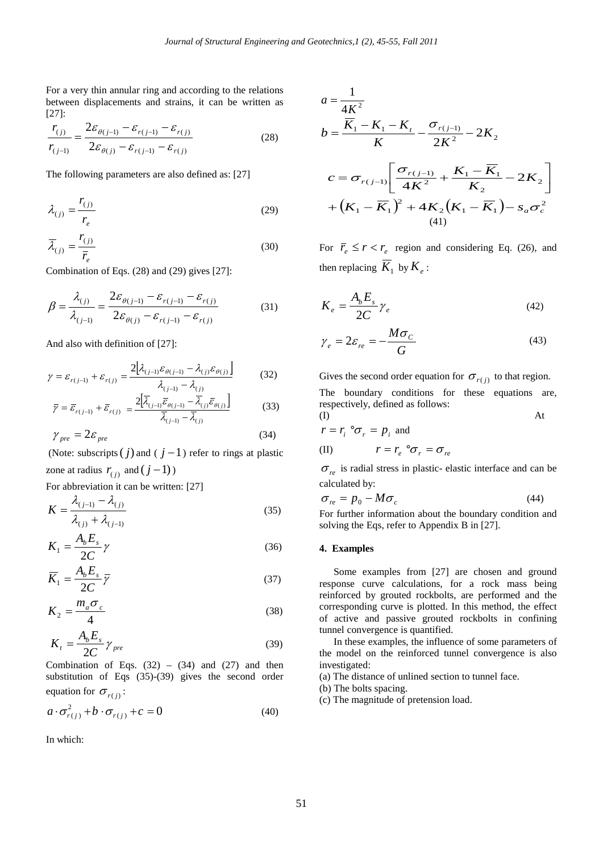For a very thin annular ring and according to the relations between displacements and strains, it can be written as [27]:

$$
\frac{r_{(j)}}{r_{(j-1)}} = \frac{2\varepsilon_{\theta(j-1)} - \varepsilon_{r(j-1)} - \varepsilon_{r(j)}}{2\varepsilon_{\theta(j)} - \varepsilon_{r(j-1)} - \varepsilon_{r(j)}}
$$
(28)

The following parameters are also defined as: [27]

$$
\lambda_{(j)} = \frac{r_{(j)}}{r_e} \tag{29}
$$

$$
\overline{\lambda}_{(j)} = \frac{r_{(j)}}{\overline{r}_e} \tag{30}
$$

Combination of Eqs. (28) and (29) gives [27]:

$$
\beta = \frac{\lambda_{(j)}}{\lambda_{(j-1)}} = \frac{2\varepsilon_{\theta(j-1)} - \varepsilon_{r(j-1)} - \varepsilon_{r(j)}}{2\varepsilon_{\theta(j)} - \varepsilon_{r(j-1)} - \varepsilon_{r(j)}}
$$
(31)

And also with definition of [27]:

$$
\gamma = \varepsilon_{r(j-1)} + \varepsilon_{r(j)} = \frac{2[\lambda_{(j-1)}\varepsilon_{\theta(j-1)} - \lambda_{(j)}\varepsilon_{\theta(j)}]}{\lambda_{(j-1)} - \lambda_{(j)}}
$$
(32)

$$
\overline{\gamma} = \overline{\varepsilon}_{r(j-1)} + \overline{\varepsilon}_{r(j)} = \frac{2\left[\overline{\lambda}_{(j-1)}\overline{\varepsilon}_{\theta(j-1)} - \overline{\lambda}_{(j)}\overline{\varepsilon}_{\theta(j)}\right]}{\overline{\lambda}_{(j-1)} - \overline{\lambda}_{(j)}}
$$
(33)

$$
\gamma_{pre} = 2\varepsilon_{pre} \tag{34}
$$

(Note: subscripts  $(j)$  and  $(j-1)$  refer to rings at plastic zone at radius  $r_{(i)}$  and  $(j-1)$ )

For abbreviation it can be written: [27]

$$
K = \frac{\lambda_{(j-1)} - \lambda_{(j)}}{\lambda_{(j)} + \lambda_{(j-1)}}
$$
(35)

$$
K_1 = \frac{A_b E_s}{2C} \gamma \tag{36}
$$

$$
\overline{K}_1 = \frac{A_b E_s}{2C} \overline{\gamma}
$$
 (37)

$$
K_2 = \frac{m_a \sigma_c}{4} \tag{38}
$$

$$
K_t = \frac{A_b E_s}{2C} \gamma_{pre} \tag{39}
$$

Combination of Eqs.  $(32) - (34)$  and  $(27)$  and then substitution of Eqs (35)-(39) gives the second order equation for  $\sigma_{r(i)}$ :

$$
a \cdot \sigma_{r(j)}^2 + b \cdot \sigma_{r(j)} + c = 0 \tag{40}
$$

In which:

$$
a = \frac{1}{4K^2}
$$
  
\n
$$
b = \frac{\overline{K}_1 - K_1 - K_t}{K} - \frac{\sigma_{r(j-1)}}{2K^2} - 2K_2
$$
  
\n
$$
c = \sigma_{r(j-1)} \left[ \frac{\sigma_{r(j-1)}}{4K^2} + \frac{K_1 - \overline{K}_1}{K_2} - 2K_2 \right]
$$
  
\n
$$
+ (K_1 - \overline{K}_1)^2 + 4K_2(K_1 - \overline{K}_1) - s_a \sigma_c^2
$$
  
\n(41)

For  $\overline{r}_e \le r < r_e$  region and considering Eq. (26), and then replacing  $\overline{K}_1$  by  $K_e$ :

$$
K_e = \frac{A_b E_s}{2C} \gamma_e \tag{42}
$$

$$
\gamma_e = 2\varepsilon_{re} = -\frac{M\sigma_c}{G} \tag{43}
$$

Gives the second order equation for  $\sigma_{r(i)}$  to that region.

The boundary conditions for these equations are, respectively, defined as follows:

$$
r = r_{i} \mid \sigma_{r} = p_{i} \text{ and}
$$

(II)  $r = r_e \, \mathbf{i} \, \sigma_r = \sigma_{re}$ 

 $\sigma_{re}$  is radial stress in plastic- elastic interface and can be calculated by:

$$
\sigma_{re} = p_0 - M\sigma_c \tag{44}
$$

For further information about the boundary condition and solving the Eqs, refer to Appendix B in [27].

# **4. Examples**

Some examples from [27] are chosen and ground response curve calculations, for a rock mass being reinforced by grouted rockbolts, are performed and the corresponding curve is plotted. In this method, the effect of active and passive grouted rockbolts in confining tunnel convergence is quantified.

In these examples, the influence of some parameters of the model on the reinforced tunnel convergence is also investigated:

(a) The distance of unlined section to tunnel face.

(b) The bolts spacing.

(c) The magnitude of pretension load.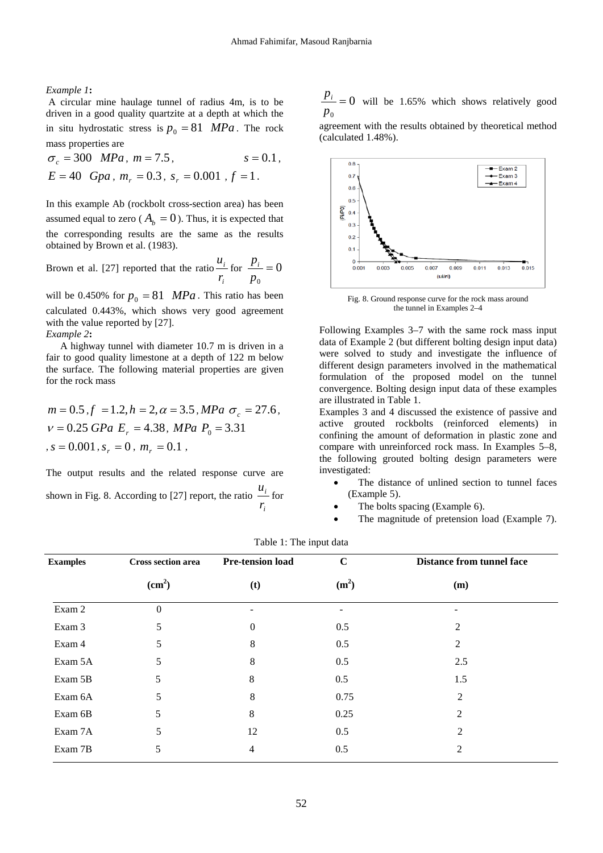*Example 1***:**

A circular mine haulage tunnel of radius 4m, is to be driven in a good quality quartzite at a depth at which the in situ hydrostatic stress is  $p_0 = 81$  *MPa*. The rock mass properties are

 $\sigma_c = 300 \, MPa$ ,  $m = 7.5$ ,  $s = 0.1$ ,  $E = 40$  *Gpa*,  $m_r = 0.3$ ,  $s_r = 0.001$ ,  $f = 1$ .

In this example Ab (rockbolt cross-section area) has been assumed equal to zero ( $A_b = 0$ ). Thus, it is expected that the corresponding results are the same as the results obtained by Brown et al. (1983).

Brown et al. [27] reported that the ratio *i i r*  $\frac{u_i}{v}$  for  $\frac{p_i}{v} = 0$  $\frac{p_i}{p_0} =$ 

will be 0.450% for  $p_0 = 81$  *MPa*. This ratio has been calculated 0.443%, which shows very good agreement with the value reported by [27]. *Example 2***:**

A highway tunnel with diameter 10.7 m is driven in a fair to good quality limestone at a depth of 122 m below the surface. The following material properties are given for the rock mass

$$
m = 0.5
$$
,  $f = 1.2$ ,  $h = 2$ ,  $\alpha = 3.5$ , *MPa*  $\sigma_c = 27.6$ ,  
\n $v = 0.25$  *GPa*  $E_r = 4.38$ , *MPa*  $P_0 = 3.31$   
\n,  $s = 0.001$ ,  $s_r = 0$ ,  $m_r = 0.1$ ,

The output results and the related response curve are shown in Fig. 8. According to [27] report, the ratio *i i r*  $\frac{u_i}{\text{for}}$   $\frac{p_i}{p_0} = 0$  will be 1.65% which shows relatively good  $\boldsymbol{0}$ 

agreement with the results obtained by theoretical method (calculated 1.48%).



Fig. 8. Ground response curve for the rock mass around the tunnel in Examples 2–4

Following Examples 3–7 with the same rock mass input data of Example 2 (but different bolting design input data) were solved to study and investigate the influence of different design parameters involved in the mathematical formulation of the proposed model on the tunnel convergence. Bolting design input data of these examples are illustrated in Table 1.

Examples 3 and 4 discussed the existence of passive and active grouted rockbolts (reinforced elements) in confining the amount of deformation in plastic zone and compare with unreinforced rock mass. In Examples 5–8, the following grouted bolting design parameters were investigated:

- The distance of unlined section to tunnel faces (Example 5).
- The bolts spacing (Example 6).
- The magnitude of pretension load (Example 7).

| <b>Examples</b> | Cross section area<br>(cm <sup>2</sup> ) | <b>Pre-tension load</b><br>(t) | $\mathbf C$<br>(m <sup>2</sup> ) | <b>Distance from tunnel face</b><br>(m) |
|-----------------|------------------------------------------|--------------------------------|----------------------------------|-----------------------------------------|
|                 |                                          |                                |                                  |                                         |
| Exam 3          | 5                                        | 0                              | 0.5                              | 2                                       |
| Exam 4          | 5                                        | 8                              | 0.5                              | 2                                       |
| Exam 5A         | 5                                        | 8                              | 0.5                              | 2.5                                     |
| Exam 5B         | 5                                        | 8                              | 0.5                              | 1.5                                     |
| Exam 6A         | 5                                        | 8                              | 0.75                             | $\overline{2}$                          |
| Exam 6B         | 5                                        | 8                              | 0.25                             | $\overline{2}$                          |
| Exam 7A         | 5                                        | 12                             | 0.5                              | $\overline{2}$                          |
| Exam 7B         | 5                                        | 4                              | 0.5                              | 2                                       |
|                 |                                          |                                |                                  |                                         |

Table 1: The input data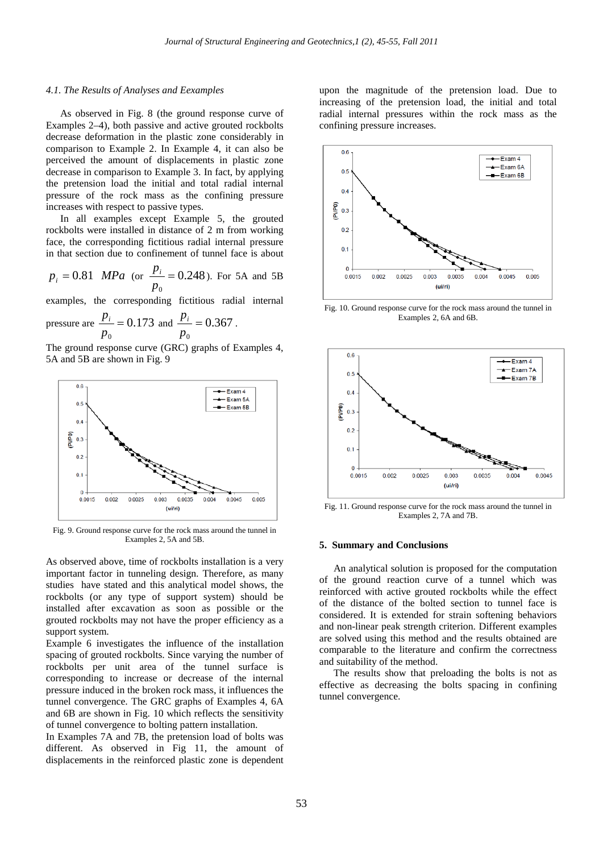#### *4.1. The Results of Analyses and Eexamples*

As observed in Fig. 8 (the ground response curve of Examples 2–4), both passive and active grouted rockbolts decrease deformation in the plastic zone considerably in comparison to Example 2. In Example 4, it can also be perceived the amount of displacements in plastic zone decrease in comparison to Example 3. In fact, by applying the pretension load the initial and total radial internal pressure of the rock mass as the confining pressure increases with respect to passive types.

In all examples except Example 5, the grouted rockbolts were installed in distance of 2 m from working face, the corresponding fictitious radial internal pressure in that section due to confinement of tunnel face is about

$$
p_i = 0.81
$$
 MPa (or  $\frac{p_i}{p_0} = 0.248$ ). For 5A and 5B

examples, the corresponding fictitious radial internal

pressure are 
$$
\frac{p_i}{p_0} = 0.173
$$
 and  $\frac{p_i}{p_0} = 0.367$ .

The ground response curve (GRC) graphs of Examples 4, 5A and 5B are shown in Fig. 9



Fig. 9. Ground response curve for the rock mass around the tunnel in Examples 2, 5A and 5B.

As observed above, time of rockbolts installation is a very important factor in tunneling design. Therefore, as many studies have stated and this analytical model shows, the rockbolts (or any type of support system) should be installed after excavation as soon as possible or the grouted rockbolts may not have the proper efficiency as a support system.

Example 6 investigates the influence of the installation spacing of grouted rockbolts. Since varying the number of rockbolts per unit area of the tunnel surface is corresponding to increase or decrease of the internal pressure induced in the broken rock mass, it influences the tunnel convergence. The GRC graphs of Examples 4, 6A and 6B are shown in Fig. 10 which reflects the sensitivity of tunnel convergence to bolting pattern installation.

In Examples 7A and 7B, the pretension load of bolts was different. As observed in Fig 11, the amount of displacements in the reinforced plastic zone is dependent

upon the magnitude of the pretension load. Due to increasing of the pretension load, the initial and total radial internal pressures within the rock mass as the confining pressure increases.



Fig. 10. Ground response curve for the rock mass around the tunnel in Examples 2, 6A and 6B.



Fig. 11. Ground response curve for the rock mass around the tunnel in Examples 2, 7A and 7B.

## **5. Summary and Conclusions**

An analytical solution is proposed for the computation of the ground reaction curve of a tunnel which was reinforced with active grouted rockbolts while the effect of the distance of the bolted section to tunnel face is considered. It is extended for strain softening behaviors and non-linear peak strength criterion. Different examples are solved using this method and the results obtained are comparable to the literature and confirm the correctness and suitability of the method.

The results show that preloading the bolts is not as effective as decreasing the bolts spacing in confining tunnel convergence.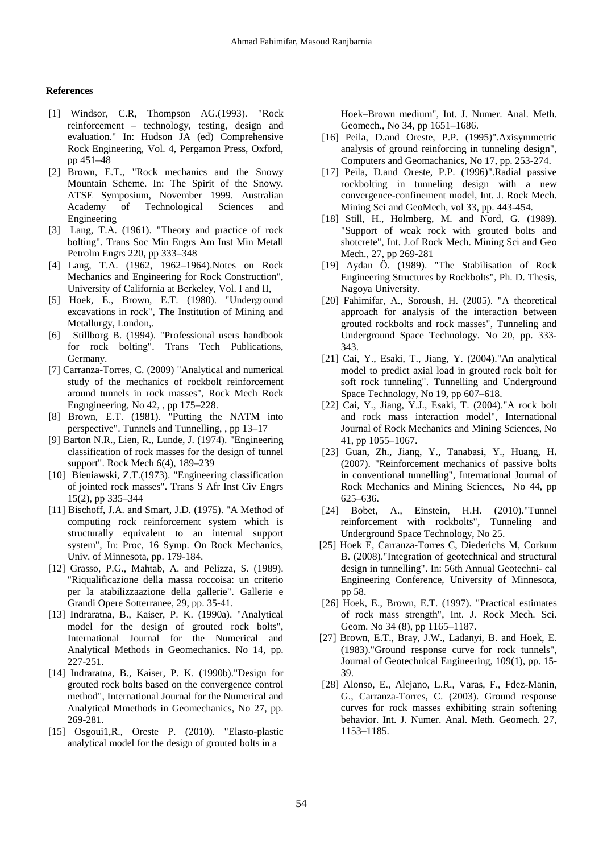# **References**

- [1] Windsor, C.R, Thompson AG.(1993). "Rock reinforcement – technology, testing, design and evaluation." In: Hudson JA (ed) Comprehensive Rock Engineering, Vol. 4, Pergamon Press, Oxford, pp 451–48
- [2] Brown, E.T., "Rock mechanics and the Snowy Mountain Scheme. In: The Spirit of the Snowy. ATSE Symposium, November 1999. Australian Academy of Technological Sciences and Engineering
- [3] Lang, T.A. (1961). "Theory and practice of rock bolting". Trans Soc Min Engrs Am Inst Min Metall Petrolm Engrs 220, pp 333–348
- [4] Lang, T.A. (1962, 1962–1964).Notes on Rock Mechanics and Engineering for Rock Construction", University of California at Berkeley, Vol. I and II,
- [5] Hoek, E., Brown, E.T. (1980). "Underground excavations in rock", The Institution of Mining and Metallurgy, London,.
- [6] Stillborg B. (1994). "Professional users handbook for rock bolting". Trans Tech Publications, Germany.
- [7] Carranza-Torres, C. (2009) "Analytical and numerical study of the mechanics of rockbolt reinforcement around tunnels in rock masses", Rock Mech Rock Engngineering, No 42, , pp 175–228.
- [8] Brown, E.T. (1981). "Putting the NATM into perspective". Tunnels and Tunnelling, , pp 13–17
- [9] Barton N.R., Lien, R., Lunde, J. (1974). "Engineering classification of rock masses for the design of tunnel support". Rock Mech 6(4), 189–239
- [10] Bieniawski, Z.T.(1973). "Engineering classification of jointed rock masses". Trans S Afr Inst Civ Engrs 15(2), pp 335–344
- [11] Bischoff, J.A. and Smart, J.D. (1975). "A Method of computing rock reinforcement system which is structurally equivalent to an internal support system", In: Proc, 16 Symp. On Rock Mechanics, Univ. of Minnesota, pp. 179-184.
- [12] Grasso, P.G., Mahtab, A. and Pelizza, S. (1989). "Riqualificazione della massa roccoisa: un criterio per la atabilizzaazione della gallerie". Gallerie e Grandi Opere Sotterranee, 29, pp. 35-41.
- [13] Indraratna, B., Kaiser, P. K. (1990a). "Analytical model for the design of grouted rock bolts", International Journal for the Numerical and Analytical Methods in Geomechanics. No 14, pp. 227-251.
- [14] Indraratna, B., Kaiser, P. K. (1990b). "Design for grouted rock bolts based on the convergence control method", International Journal for the Numerical and Analytical Mmethods in Geomechanics, No 27, pp. 269-281.
- [15] Osgoui1,R., Oreste P. (2010). "Elasto-plastic analytical model for the design of grouted bolts in a

Hoek–Brown medium", Int. J. Numer. Anal. Meth. Geomech., No 34, pp 1651–1686.

- [16] Peila, D.and Oreste, P.P. (1995)".Axisymmetric analysis of ground reinforcing in tunneling design", Computers and Geomachanics, No 17, pp. 253-274.
- [17] Peila, D.and Oreste, P.P. (1996)".Radial passive rockbolting in tunneling design with a new convergence-confinement model, Int. J. Rock Mech. Mining Sci and GeoMech, vol 33, pp. 443-454.
- [18] Still, H., Holmberg, M. and Nord, G. (1989). "Support of weak rock with grouted bolts and shotcrete", Int. J.of Rock Mech. Mining Sci and Geo Mech., 27, pp 269-281
- [19] Aydan Ö. (1989). "The Stabilisation of Rock Engineering Structures by Rockbolts", Ph. D. Thesis, Nagoya University.
- [20] Fahimifar, A., Soroush, H. (2005). "A theoretical approach for analysis of the interaction between grouted rockbolts and rock masses", Tunneling and Underground Space Technology. No 20, pp. 333- 343.
- [21] Cai, Y., Esaki, T., Jiang, Y. (2004)."An analytical model to predict axial load in grouted rock bolt for soft rock tunneling". Tunnelling and Underground Space Technology, No 19, pp 607–618.
- [22] Cai, Y., Jiang, Y.J., Esaki, T. (2004)."A rock bolt and rock mass interaction model", International Journal of Rock Mechanics and Mining Sciences, No 41, pp 1055–1067.
- [23] Guan, Zh., Jiang, Y., Tanabasi, Y., Huang, H**.** (2007). "Reinforcement mechanics of passive bolts in conventional tunnelling", International Journal of Rock Mechanics and Mining Sciences, No 44, pp 625–636.
- [24] Bobet, A., Einstein, H.H. (2010)."Tunnel reinforcement with rockbolts", Tunneling and Underground Space Technology, No 25.
- [25] Hoek E, Carranza-Torres C, Diederichs M, Corkum B. (2008)."Integration of geotechnical and structural design in tunnelling". In: 56th Annual Geotechni- cal Engineering Conference, University of Minnesota, pp 58.
- [26] Hoek, E., Brown, E.T. (1997). "Practical estimates of rock mass strength", Int. J. Rock Mech. Sci. Geom. No 34 (8), pp 1165–1187.
- [27] Brown, E.T., Bray, J.W., Ladanyi, B. and Hoek, E. (1983)."Ground response curve for rock tunnels", Journal of Geotechnical Engineering, 109(1), pp. 15- 39.
- [28] Alonso, E., Alejano, L.R., Varas, F., Fdez-Manin, G., Carranza-Torres, C. (2003). Ground response curves for rock masses exhibiting strain softening behavior. Int. J. Numer. Anal. Meth. Geomech. 27, 1153–1185.